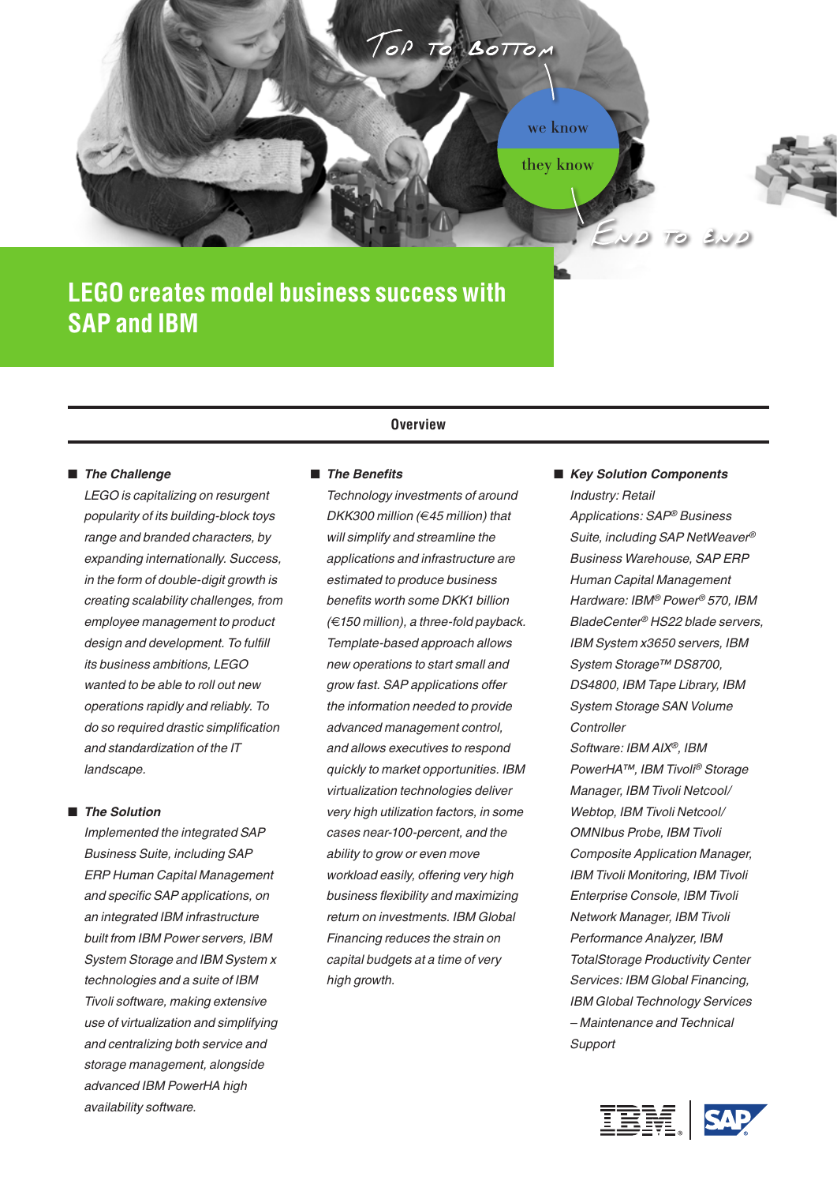

# **LEGO creates model business success with SAP and IBM**

# ■ The Challenge

*LEGO is capitalizing on resurgent popularity of its building-block toys range and branded characters, by expanding internationally. Success, in the form of double-digit growth is creating scalability challenges, from employee management to product design and development. To fulfill its business ambitions, LEGO wanted to be able to roll out new operations rapidly and reliably. To do so required drastic simplification and standardization of the IT landscape.*

# ■ *The Solution*

*Implemented the integrated SAP Business Suite, including SAP ERP Human Capital Management and specific SAP applications, on an integrated IBM infrastructure built from IBM Power servers, IBM System Storage and IBM System x technologies and a suite of IBM Tivoli software, making extensive use of virtualization and simplifying and centralizing both service and storage management, alongside advanced IBM PowerHA high availability software.* 

# **Overview**

### ■ *The Benefits*

*Technology investments of around DKK300 million (*€*45 million) that will simplify and streamline the applications and infrastructure are estimated to produce business benefits worth some DKK1 billion (*€*150 million), a three-fold payback. Template-based approach allows new operations to start small and grow fast. SAP applications offer the information needed to provide advanced management control, and allows executives to respond quickly to market opportunities. IBM virtualization technologies deliver very high utilization factors, in some cases near-100-percent, and the ability to grow or even move workload easily, offering very high business flexibility and maximizing return on investments. IBM Global Financing reduces the strain on capital budgets at a time of very high growth.* 

 *Key Solution Components Industry: Retail Applications: SAP® Business Suite, including SAP NetWeaver® Business Warehouse, SAP ERP* 

*Human Capital Management Hardware: IBM® Power® 570, IBM BladeCenter® HS22 blade servers, IBM System x3650 servers, IBM System Storage™ DS8700, DS4800, IBM Tape Library, IBM System Storage SAN Volume Controller Software: IBM AIX®, IBM PowerHA™, IBM Tivoli® Storage* 

*Manager, IBM Tivoli Netcool/ Webtop, IBM Tivoli Netcool/ OMNIbus Probe, IBM Tivoli Composite Application Manager, IBM Tivoli Monitoring, IBM Tivoli Enterprise Console, IBM Tivoli Network Manager, IBM Tivoli Performance Analyzer, IBM TotalStorage Productivity Center Services: IBM Global Financing, IBM Global Technology Services – Maintenance and Technical Support*

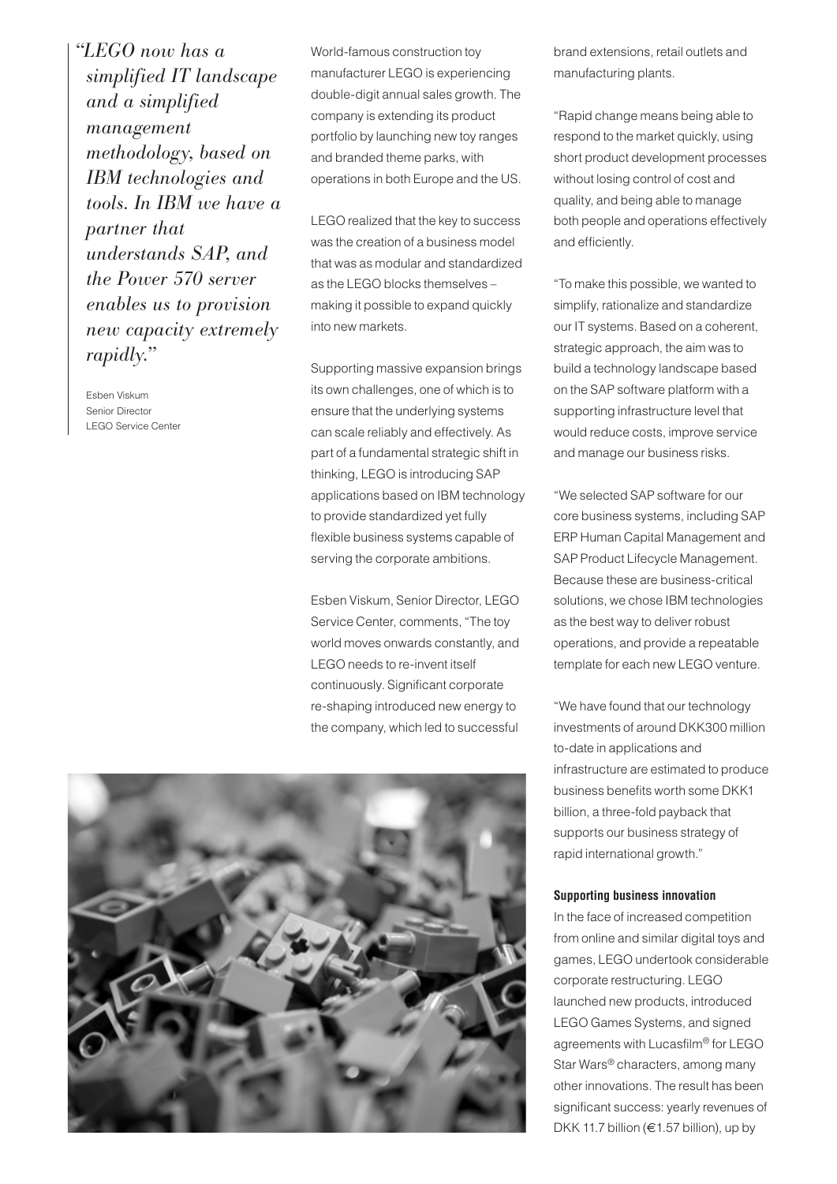*"LEGO now has a simplified IT landscape and a simplified management methodology, based on IBM technologies and tools. In IBM we have a partner that understands SAP, and the Power 570 server enables us to provision new capacity extremely rapidly."*

Esben Viskum Senior Director LEGO Service Center World-famous construction toy manufacturer LEGO is experiencing double-digit annual sales growth. The company is extending its product portfolio by launching new toy ranges and branded theme parks, with operations in both Europe and the US.

LEGO realized that the key to success was the creation of a business model that was as modular and standardized as the LEGO blocks themselves – making it possible to expand quickly into new markets.

Supporting massive expansion brings its own challenges, one of which is to ensure that the underlying systems can scale reliably and effectively. As part of a fundamental strategic shift in thinking, LEGO is introducing SAP applications based on IBM technology to provide standardized yet fully flexible business systems capable of serving the corporate ambitions.

Esben Viskum, Senior Director, LEGO Service Center, comments, "The toy world moves onwards constantly, and LEGO needs to re-invent itself continuously. Significant corporate re-shaping introduced new energy to the company, which led to successful

brand extensions, retail outlets and manufacturing plants.

"Rapid change means being able to respond to the market quickly, using short product development processes without losing control of cost and quality, and being able to manage both people and operations effectively and efficiently.

"To make this possible, we wanted to simplify, rationalize and standardize our IT systems. Based on a coherent, strategic approach, the aim was to build a technology landscape based on the SAP software platform with a supporting infrastructure level that would reduce costs, improve service and manage our business risks.

"We selected SAP software for our core business systems, including SAP ERP Human Capital Management and SAP Product Lifecycle Management. Because these are business-critical solutions, we chose IBM technologies as the best way to deliver robust operations, and provide a repeatable template for each new LEGO venture.

"We have found that our technology investments of around DKK300 million to-date in applications and infrastructure are estimated to produce business benefits worth some DKK1 billion, a three-fold payback that supports our business strategy of rapid international growth."

### **Supporting business innovation**

In the face of increased competition from online and similar digital toys and games, LEGO undertook considerable corporate restructuring. LEGO launched new products, introduced LEGO Games Systems, and signed agreements with Lucasfilm® for LEGO Star Wars® characters, among many other innovations. The result has been significant success: yearly revenues of DKK 11.7 billion (€1.57 billion), up by

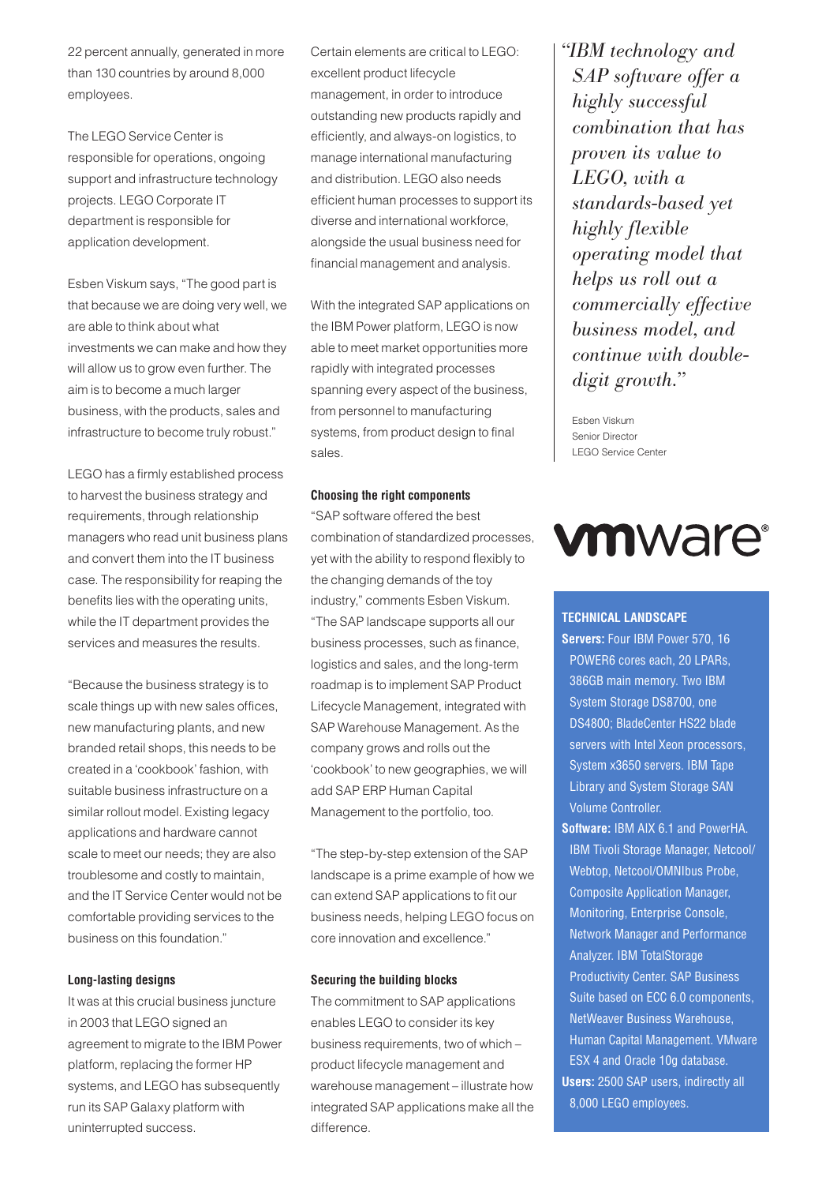22 percent annually, generated in more than 130 countries by around 8,000 employees.

The LEGO Service Center is responsible for operations, ongoing support and infrastructure technology projects. LEGO Corporate IT department is responsible for application development.

Esben Viskum says, "The good part is that because we are doing very well, we are able to think about what investments we can make and how they will allow us to grow even further. The aim is to become a much larger business, with the products, sales and infrastructure to become truly robust."

LEGO has a firmly established process to harvest the business strategy and requirements, through relationship managers who read unit business plans and convert them into the IT business case. The responsibility for reaping the benefits lies with the operating units, while the IT department provides the services and measures the results.

"Because the business strategy is to scale things up with new sales offices, new manufacturing plants, and new branded retail shops, this needs to be created in a 'cookbook' fashion, with suitable business infrastructure on a similar rollout model. Existing legacy applications and hardware cannot scale to meet our needs; they are also troublesome and costly to maintain, and the IT Service Center would not be comfortable providing services to the business on this foundation."

# **Long-lasting designs**

It was at this crucial business juncture in 2003 that LEGO signed an agreement to migrate to the IBM Power platform, replacing the former HP systems, and LEGO has subsequently run its SAP Galaxy platform with uninterrupted success.

Certain elements are critical to LEGO: excellent product lifecycle management, in order to introduce outstanding new products rapidly and efficiently, and always-on logistics, to manage international manufacturing and distribution. LEGO also needs efficient human processes to support its diverse and international workforce, alongside the usual business need for financial management and analysis.

With the integrated SAP applications on the IBM Power platform, LEGO is now able to meet market opportunities more rapidly with integrated processes spanning every aspect of the business, from personnel to manufacturing systems, from product design to final sales.

### **Choosing the right components**

"SAP software offered the best combination of standardized processes, yet with the ability to respond flexibly to the changing demands of the toy industry," comments Esben Viskum. "The SAP landscape supports all our business processes, such as finance, logistics and sales, and the long-term roadmap is to implement SAP Product Lifecycle Management, integrated with SAP Warehouse Management. As the company grows and rolls out the 'cookbook' to new geographies, we will add SAP ERP Human Capital Management to the portfolio, too.

"The step-by-step extension of the SAP landscape is a prime example of how we can extend SAP applications to fit our business needs, helping LEGO focus on core innovation and excellence."

# **Securing the building blocks**

The commitment to SAP applications enables LEGO to consider its key business requirements, two of which – product lifecycle management and warehouse management – illustrate how integrated SAP applications make all the difference.

*"IBM technology and SAP software offer a highly successful combination that has proven its value to LEGO, with a standards-based yet highly flexible operating model that helps us roll out a commercially effective business model, and continue with doubledigit growth."*

Esben Viskum Senior Director LEGO Service Center

# **vm**ware<sup>®</sup>

### **TECHNICAL LANDSCAPE**

- Servers: Four IBM Power 570, 16 POWER6 cores each, 20 LPARs, 386GB main memory. Two IBM System Storage DS8700, one DS4800; BladeCenter HS22 blade servers with Intel Xeon processors, System x3650 servers. IBM Tape Library and System Storage SAN Volume Controller.
- **Software:** IBM AIX 6.1 and PowerHA. IBM Tivoli Storage Manager, Netcool/ Webtop, Netcool/OMNIbus Probe, Composite Application Manager, Monitoring, Enterprise Console, Network Manager and Performance Analyzer. IBM TotalStorage Productivity Center. SAP Business Suite based on ECC 6.0 components, NetWeaver Business Warehouse, Human Capital Management. VMware ESX 4 and Oracle 10g database. **Users:** 2500 SAP users, indirectly all 8,000 LEGO employees.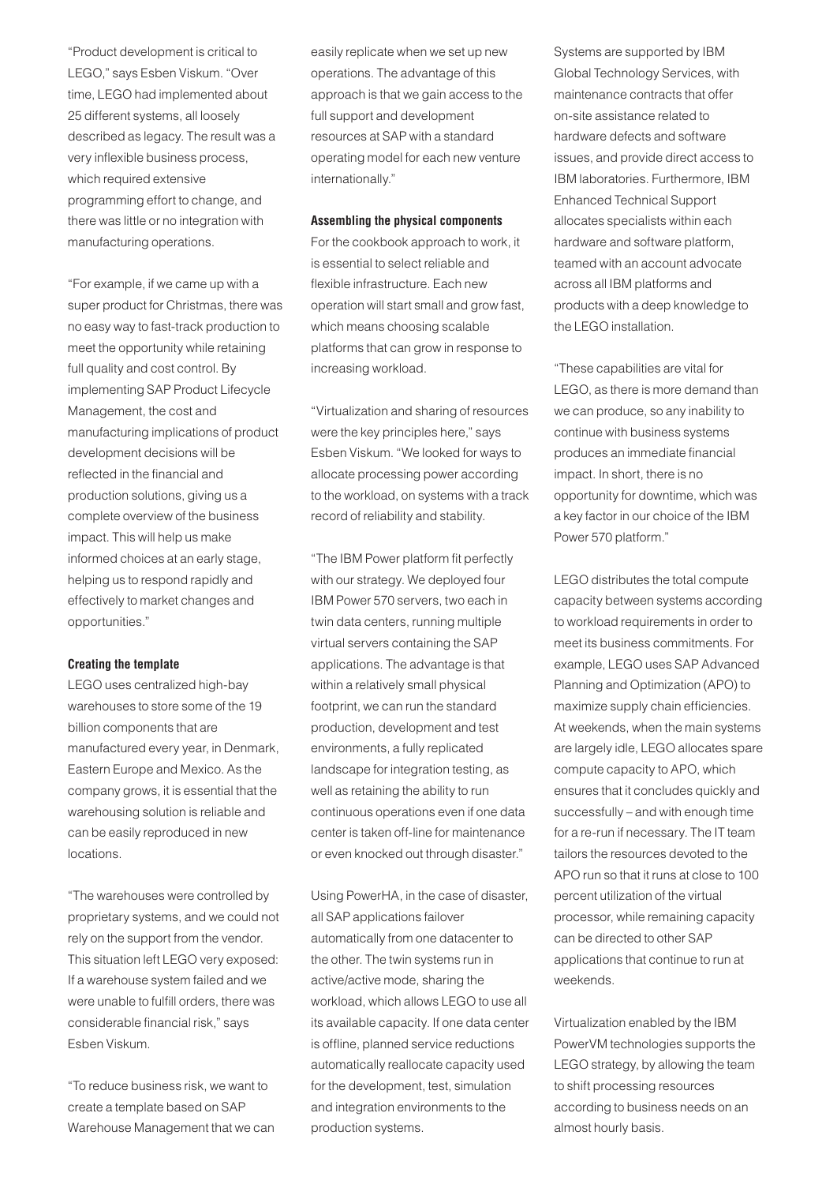"Product development is critical to LEGO," says Esben Viskum. "Over time, LEGO had implemented about 25 different systems, all loosely described as legacy. The result was a very inflexible business process, which required extensive programming effort to change, and there was little or no integration with manufacturing operations.

"For example, if we came up with a super product for Christmas, there was no easy way to fast-track production to meet the opportunity while retaining full quality and cost control. By implementing SAP Product Lifecycle Management, the cost and manufacturing implications of product development decisions will be reflected in the financial and production solutions, giving us a complete overview of the business impact. This will help us make informed choices at an early stage, helping us to respond rapidly and effectively to market changes and opportunities."

### **Creating the template**

LEGO uses centralized high-bay warehouses to store some of the 19 billion components that are manufactured every year, in Denmark, Eastern Europe and Mexico. As the company grows, it is essential that the warehousing solution is reliable and can be easily reproduced in new locations.

"The warehouses were controlled by proprietary systems, and we could not rely on the support from the vendor. This situation left LEGO very exposed: If a warehouse system failed and we were unable to fulfill orders, there was considerable financial risk," says Esben Viskum.

"To reduce business risk, we want to create a template based on SAP Warehouse Management that we can easily replicate when we set up new operations. The advantage of this approach is that we gain access to the full support and development resources at SAP with a standard operating model for each new venture internationally."

### **Assembling the physical components**

For the cookbook approach to work, it is essential to select reliable and flexible infrastructure. Each new operation will start small and grow fast, which means choosing scalable platforms that can grow in response to increasing workload.

"Virtualization and sharing of resources were the key principles here," says Esben Viskum. "We looked for ways to allocate processing power according to the workload, on systems with a track record of reliability and stability.

"The IBM Power platform fit perfectly with our strategy. We deployed four IBM Power 570 servers, two each in twin data centers, running multiple virtual servers containing the SAP applications. The advantage is that within a relatively small physical footprint, we can run the standard production, development and test environments, a fully replicated landscape for integration testing, as well as retaining the ability to run continuous operations even if one data center is taken off-line for maintenance or even knocked out through disaster."

Using PowerHA, in the case of disaster, all SAP applications failover automatically from one datacenter to the other. The twin systems run in active/active mode, sharing the workload, which allows LEGO to use all its available capacity. If one data center is offline, planned service reductions automatically reallocate capacity used for the development, test, simulation and integration environments to the production systems.

Systems are supported by IBM Global Technology Services, with maintenance contracts that offer on-site assistance related to hardware defects and software issues, and provide direct access to IBM laboratories. Furthermore, IBM Enhanced Technical Support allocates specialists within each hardware and software platform, teamed with an account advocate across all IBM platforms and products with a deep knowledge to the LEGO installation.

"These capabilities are vital for LEGO, as there is more demand than we can produce, so any inability to continue with business systems produces an immediate financial impact. In short, there is no opportunity for downtime, which was a key factor in our choice of the IBM Power 570 platform."

LEGO distributes the total compute capacity between systems according to workload requirements in order to meet its business commitments. For example, LEGO uses SAP Advanced Planning and Optimization (APO) to maximize supply chain efficiencies. At weekends, when the main systems are largely idle, LEGO allocates spare compute capacity to APO, which ensures that it concludes quickly and successfully – and with enough time for a re-run if necessary. The IT team tailors the resources devoted to the APO run so that it runs at close to 100 percent utilization of the virtual processor, while remaining capacity can be directed to other SAP applications that continue to run at weekends.

Virtualization enabled by the IBM PowerVM technologies supports the LEGO strategy, by allowing the team to shift processing resources according to business needs on an almost hourly basis.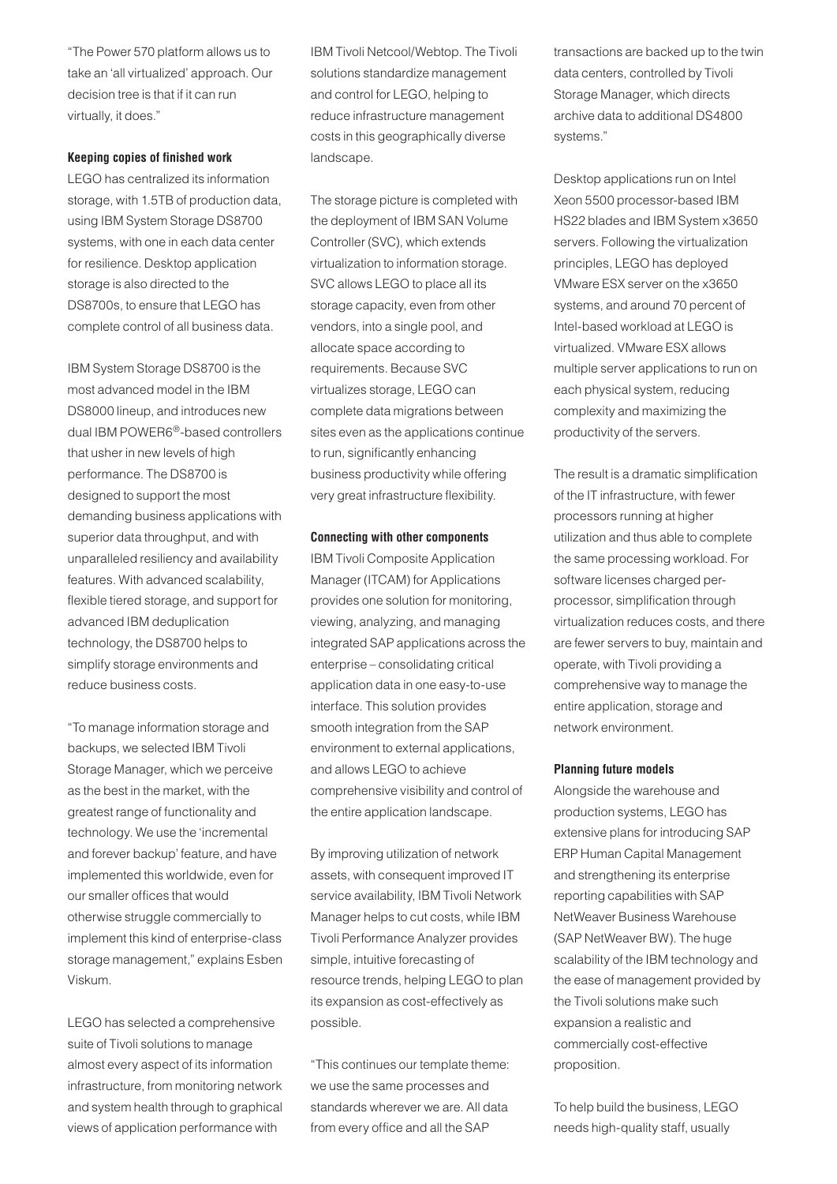"The Power 570 platform allows us to take an 'all virtualized' approach. Our decision tree is that if it can run virtually, it does."

# **Keeping copies of finished work**

LEGO has centralized its information storage, with 1.5TB of production data, using IBM System Storage DS8700 systems, with one in each data center for resilience. Desktop application storage is also directed to the DS8700s, to ensure that LEGO has complete control of all business data.

IBM System Storage DS8700 is the most advanced model in the IBM DS8000 lineup, and introduces new dual IBM POWER6®-based controllers that usher in new levels of high performance. The DS8700 is designed to support the most demanding business applications with superior data throughput, and with unparalleled resiliency and availability features. With advanced scalability, flexible tiered storage, and support for advanced IBM deduplication technology, the DS8700 helps to simplify storage environments and reduce business costs.

"To manage information storage and backups, we selected IBM Tivoli Storage Manager, which we perceive as the best in the market, with the greatest range of functionality and technology. We use the 'incremental and forever backup' feature, and have implemented this worldwide, even for our smaller offices that would otherwise struggle commercially to implement this kind of enterprise-class storage management," explains Esben Viskum.

LEGO has selected a comprehensive suite of Tivoli solutions to manage almost every aspect of its information infrastructure, from monitoring network and system health through to graphical views of application performance with

IBM Tivoli Netcool/Webtop. The Tivoli solutions standardize management and control for LEGO, helping to reduce infrastructure management costs in this geographically diverse landscape.

The storage picture is completed with the deployment of IBM SAN Volume Controller (SVC), which extends virtualization to information storage. SVC allows LEGO to place all its storage capacity, even from other vendors, into a single pool, and allocate space according to requirements. Because SVC virtualizes storage, LEGO can complete data migrations between sites even as the applications continue to run, significantly enhancing business productivity while offering very great infrastructure flexibility.

### **Connecting with other components**

IBM Tivoli Composite Application Manager (ITCAM) for Applications provides one solution for monitoring, viewing, analyzing, and managing integrated SAP applications across the enterprise – consolidating critical application data in one easy-to-use interface. This solution provides smooth integration from the SAP environment to external applications, and allows LEGO to achieve comprehensive visibility and control of the entire application landscape.

By improving utilization of network assets, with consequent improved IT service availability, IBM Tivoli Network Manager helps to cut costs, while IBM Tivoli Performance Analyzer provides simple, intuitive forecasting of resource trends, helping LEGO to plan its expansion as cost-effectively as possible.

"This continues our template theme: we use the same processes and standards wherever we are. All data from every office and all the SAP

transactions are backed up to the twin data centers, controlled by Tivoli Storage Manager, which directs archive data to additional DS4800 systems."

Desktop applications run on Intel Xeon 5500 processor-based IBM HS22 blades and IBM System x3650 servers. Following the virtualization principles, LEGO has deployed VMware ESX server on the x3650 systems, and around 70 percent of Intel-based workload at LEGO is virtualized. VMware ESX allows multiple server applications to run on each physical system, reducing complexity and maximizing the productivity of the servers.

The result is a dramatic simplification of the IT infrastructure, with fewer processors running at higher utilization and thus able to complete the same processing workload. For software licenses charged perprocessor, simplification through virtualization reduces costs, and there are fewer servers to buy, maintain and operate, with Tivoli providing a comprehensive way to manage the entire application, storage and network environment.

### **Planning future models**

Alongside the warehouse and production systems, LEGO has extensive plans for introducing SAP ERP Human Capital Management and strengthening its enterprise reporting capabilities with SAP NetWeaver Business Warehouse (SAP NetWeaver BW). The huge scalability of the IBM technology and the ease of management provided by the Tivoli solutions make such expansion a realistic and commercially cost-effective proposition.

To help build the business, LEGO needs high-quality staff, usually